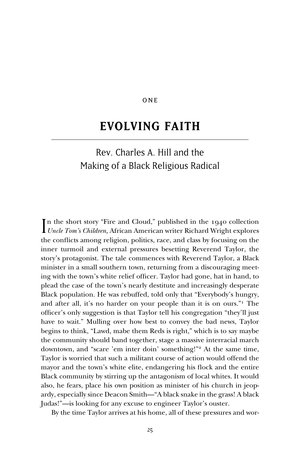#### ONE

# **EVOLVING FAITH**

# Rev. Charles A. Hill and the Making of a Black Religious Radical

In the short story "Fire and Cloud," published in the 1940 collection<br>*Uncle Tom's Children,* African American writer Richard Wright explores n the short story "Fire and Cloud," published in the 1940 collection the conflicts among religion, politics, race, and class by focusing on the inner turmoil and external pressures besetting Reverend Taylor, the story's protagonist. The tale commences with Reverend Taylor, a Black minister in a small southern town, returning from a discouraging meeting with the town's white relief officer. Taylor had gone, hat in hand, to plead the case of the town's nearly destitute and increasingly desperate Black population. He was rebuffed, told only that "Everybody's hungry, and after all, it's no harder on your people than it is on ours."<sup>1</sup> The officer's only suggestion is that Taylor tell his congregation "they'll just have to wait." Mulling over how best to convey the bad news, Taylor begins to think, "Lawd, mabe them Reds is right," which is to say maybe the community should band together, stage a massive interracial march downtown, and "scare 'em inter doin' something!"<sup>2</sup> At the same time, Taylor is worried that such a militant course of action would offend the mayor and the town's white elite, endangering his flock and the entire Black community by stirring up the antagonism of local whites. It would also, he fears, place his own position as minister of his church in jeopardy, especially since Deacon Smith—"A black snake in the grass! A black Judas!"—is looking for any excuse to engineer Taylor's ouster.

By the time Taylor arrives at his home, all of these pressures and wor-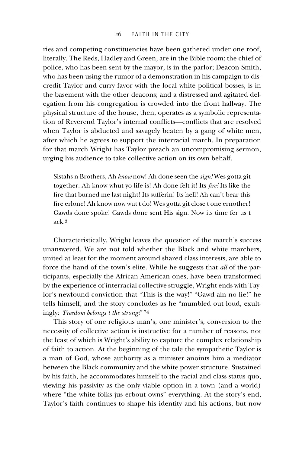ries and competing constituencies have been gathered under one roof, literally. The Reds, Hadley and Green, are in the Bible room; the chief of police, who has been sent by the mayor, is in the parlor; Deacon Smith, who has been using the rumor of a demonstration in his campaign to discredit Taylor and curry favor with the local white political bosses, is in the basement with the other deacons; and a distressed and agitated delegation from his congregation is crowded into the front hallway. The physical structure of the house, then, operates as a symbolic representation of Reverend Taylor's internal conflicts—conflicts that are resolved when Taylor is abducted and savagely beaten by a gang of white men, after which he agrees to support the interracial march. In preparation for that march Wright has Taylor preach an uncompromising sermon, urging his audience to take collective action on its own behalf.

Sistahs n Brothers, Ah *know* now! Ah done seen the *sign!* Wes gotta git together. Ah know whut yo life is! Ah done felt it! Its *fire!* Its like the fire that burned me last night! Its sufferin! Its hell! Ah can't bear this fire erlone! Ah know now wut t do! Wes gotta git close t one ernother! Gawds done spoke! Gawds done sent His sign. Now its time fer us t ack.3

Characteristically, Wright leaves the question of the march's success unanswered. We are not told whether the Black and white marchers, united at least for the moment around shared class interests, are able to force the hand of the town's elite. While he suggests that *all* of the participants, especially the African American ones, have been transformed by the experience of interracial collective struggle, Wright ends with Taylor's newfound conviction that "This is the way!" "Gawd ain no lie!" he tells himself, and the story concludes as he "mumbled out loud, exultingly: *'Freedom belongs t the strong!*'"4

This story of one religious man's, one minister's, conversion to the necessity of collective action is instructive for a number of reasons, not the least of which is Wright's ability to capture the complex relationship of faith to action. At the beginning of the tale the sympathetic Taylor is a man of God, whose authority as a minister anoints him a mediator between the Black community and the white power structure. Sustained by his faith, he accommodates himself to the racial and class status quo, viewing his passivity as the only viable option in a town (and a world) where "the white folks jus erbout owns" everything. At the story's end, Taylor's faith continues to shape his identity and his actions, but now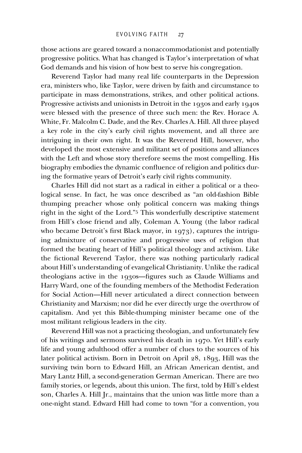those actions are geared toward a nonaccommodationist and potentially progressive politics. What has changed is Taylor's interpretation of what God demands and his vision of how best to serve his congregation.

Reverend Taylor had many real life counterparts in the Depression era, ministers who, like Taylor, were driven by faith and circumstance to participate in mass demonstrations, strikes, and other political actions. Progressive activists and unionists in Detroit in the 1930s and early 1940s were blessed with the presence of three such men: the Rev. Horace A. White, Fr. Malcolm C. Dade, and the Rev. Charles A. Hill. All three played a key role in the city's early civil rights movement, and all three are intriguing in their own right. It was the Reverend Hill, however, who developed the most extensive and militant set of positions and alliances with the Left and whose story therefore seems the most compelling. His biography embodies the dynamic confluence of religion and politics during the formative years of Detroit's early civil rights community.

Charles Hill did not start as a radical in either a political or a theological sense. In fact, he was once described as "an old-fashion Bible thumping preacher whose only political concern was making things right in the sight of the Lord."<sup>5</sup> This wonderfully descriptive statement from Hill's close friend and ally, Coleman A. Young (the labor radical who became Detroit's first Black mayor, in 1973), captures the intriguing admixture of conservative and progressive uses of religion that formed the beating heart of Hill's political theology and activism. Like the fictional Reverend Taylor, there was nothing particularly radical about Hill's understanding of evangelical Christianity. Unlike the radical theologians active in the 1930s—figures such as Claude Williams and Harry Ward, one of the founding members of the Methodist Federation for Social Action—Hill never articulated a direct connection between Christianity and Marxism; nor did he ever directly urge the overthrow of capitalism. And yet this Bible-thumping minister became one of the most militant religious leaders in the city.

Reverend Hill was not a practicing theologian, and unfortunately few of his writings and sermons survived his death in 1970. Yet Hill's early life and young adulthood offer a number of clues to the sources of his later political activism. Born in Detroit on April 28, 1893, Hill was the surviving twin born to Edward Hill, an African American dentist, and Mary Lantz Hill, a second-generation German American. There are two family stories, or legends, about this union. The first, told by Hill's eldest son, Charles A. Hill Jr., maintains that the union was little more than a one-night stand. Edward Hill had come to town "for a convention, you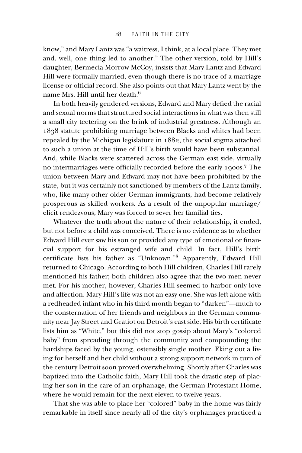know," and Mary Lantz was "a waitress, I think, at a local place. They met and, well, one thing led to another." The other version, told by Hill's daughter, Bermecia Morrow McCoy, insists that Mary Lantz and Edward Hill were formally married, even though there is no trace of a marriage license or official record. She also points out that Mary Lantz went by the name Mrs. Hill until her death.<sup>6</sup>

In both heavily gendered versions, Edward and Mary defied the racial and sexual norms that structured social interactions in what was then still a small city teetering on the brink of industrial greatness. Although an 1838 statute prohibiting marriage between Blacks and whites had been repealed by the Michigan legislature in 1882, the social stigma attached to such a union at the time of Hill's birth would have been substantial. And, while Blacks were scattered across the German east side, virtually no intermarriages were officially recorded before the early 1900s.<sup>7</sup> The union between Mary and Edward may not have been prohibited by the state, but it was certainly not sanctioned by members of the Lantz family, who, like many other older German immigrants, had become relatively prosperous as skilled workers. As a result of the unpopular marriage/ elicit rendezvous, Mary was forced to sever her familial ties.

Whatever the truth about the nature of their relationship, it ended, but not before a child was conceived. There is no evidence as to whether Edward Hill ever saw his son or provided any type of emotional or financial support for his estranged wife and child. In fact, Hill's birth certificate lists his father as "Unknown."8 Apparently, Edward Hill returned to Chicago. According to both Hill children, Charles Hill rarely mentioned his father; both children also agree that the two men never met. For his mother, however, Charles Hill seemed to harbor only love and affection. Mary Hill's life was not an easy one. She was left alone with a redheaded infant who in his third month began to "darken"—much to the consternation of her friends and neighbors in the German community near Jay Street and Gratiot on Detroit's east side. His birth certificate lists him as "White," but this did not stop gossip about Mary's "colored baby" from spreading through the community and compounding the hardships faced by the young, ostensibly single mother. Eking out a living for herself and her child without a strong support network in turn of the century Detroit soon proved overwhelming. Shortly after Charles was baptized into the Catholic faith, Mary Hill took the drastic step of placing her son in the care of an orphanage, the German Protestant Home, where he would remain for the next eleven to twelve years.

That she was able to place her "colored" baby in the home was fairly remarkable in itself since nearly all of the city's orphanages practiced a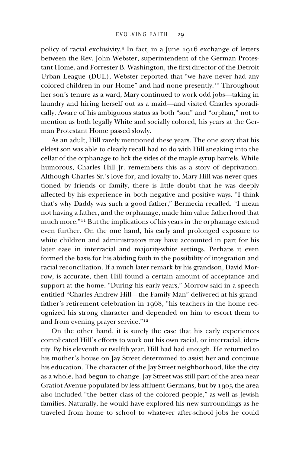policy of racial exclusivity.<sup>9</sup> In fact, in a June 1916 exchange of letters between the Rev. John Webster, superintendent of the German Protestant Home, and Forrester B. Washington, the first director of the Detroit Urban League (DUL), Webster reported that "we have never had any colored children in our Home" and had none presently.<sup>10</sup> Throughout her son's tenure as a ward, Mary continued to work odd jobs—taking in laundry and hiring herself out as a maid—and visited Charles sporadically. Aware of his ambiguous status as both "son" and "orphan," not to mention as both legally White and socially colored, his years at the German Protestant Home passed slowly.

As an adult, Hill rarely mentioned these years. The one story that his eldest son was able to clearly recall had to do with Hill sneaking into the cellar of the orphanage to lick the sides of the maple syrup barrels. While humorous, Charles Hill Jr. remembers this as a story of deprivation. Although Charles Sr.'s love for, and loyalty to, Mary Hill was never questioned by friends or family, there is little doubt that he was deeply affected by his experience in both negative and positive ways. "I think that's why Daddy was such a good father," Bermecia recalled. "I mean not having a father, and the orphanage, made him value fatherhood that much more."<sup>11</sup> But the implications of his years in the orphanage extend even further. On the one hand, his early and prolonged exposure to white children and administrators may have accounted in part for his later ease in interracial and majority-white settings. Perhaps it even formed the basis for his abiding faith in the possibility of integration and racial reconciliation. If a much later remark by his grandson, David Morrow, is accurate, then Hill found a certain amount of acceptance and support at the home. "During his early years," Morrow said in a speech entitled "Charles Andrew Hill—the Family Man" delivered at his grandfather's retirement celebration in 1968, "his teachers in the home recognized his strong character and depended on him to escort them to and from evening prayer service."12

On the other hand, it is surely the case that his early experiences complicated Hill's efforts to work out his own racial, or interracial, identity. By his eleventh or twelfth year, Hill had had enough. He returned to his mother's house on Jay Street determined to assist her and continue his education. The character of the Jay Street neighborhood, like the city as a whole, had begun to change. Jay Street was still part of the area near Gratiot Avenue populated by less affluent Germans, but by 1905 the area also included "the better class of the colored people," as well as Jewish families. Naturally, he would have explored his new surroundings as he traveled from home to school to whatever after-school jobs he could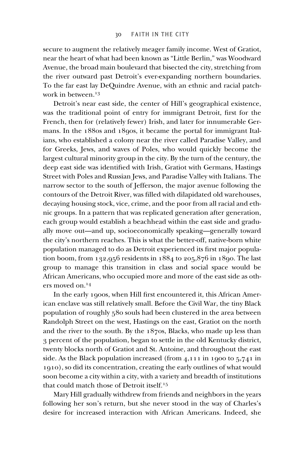secure to augment the relatively meager family income. West of Gratiot, near the heart of what had been known as "Little Berlin," was Woodward Avenue, the broad main boulevard that bisected the city, stretching from the river outward past Detroit's ever-expanding northern boundaries. To the far east lay DeQuindre Avenue, with an ethnic and racial patchwork in between.<sup>13</sup>

Detroit's near east side, the center of Hill's geographical existence, was the traditional point of entry for immigrant Detroit, first for the French, then for (relatively fewer) Irish, and later for innumerable Germans. In the 1880s and 1890s, it became the portal for immigrant Italians, who established a colony near the river called Paradise Valley, and for Greeks, Jews, and waves of Poles, who would quickly become the largest cultural minority group in the city. By the turn of the century, the deep east side was identified with Irish, Gratiot with Germans, Hastings Street with Poles and Russian Jews, and Paradise Valley with Italians. The narrow sector to the south of Jefferson, the major avenue following the contours of the Detroit River, was filled with dilapidated old warehouses, decaying housing stock, vice, crime, and the poor from all racial and ethnic groups. In a pattern that was replicated generation after generation, each group would establish a beachhead within the east side and gradually move out—and up, socioeconomically speaking—generally toward the city's northern reaches. This is what the better-off, native-born white population managed to do as Detroit experienced its first major population boom, from 132,956 residents in 1884 to 205,876 in 1890. The last group to manage this transition in class and social space would be African Americans, who occupied more and more of the east side as others moved on.<sup>14</sup>

In the early 1900s, when Hill first encountered it, this African American enclave was still relatively small. Before the Civil War, the tiny Black population of roughly 580 souls had been clustered in the area between Randolph Street on the west, Hastings on the east, Gratiot on the north and the river to the south. By the 1870s, Blacks, who made up less than 3 percent of the population, began to settle in the old Kentucky district, twenty blocks north of Gratiot and St. Antoine, and throughout the east side. As the Black population increased (from  $4,111$  in 1900 to  $5,741$  in 1910), so did its concentration, creating the early outlines of what would soon become a city within a city, with a variety and breadth of institutions that could match those of Detroit itself.<sup>15</sup>

Mary Hill gradually withdrew from friends and neighbors in the years following her son's return, but she never stood in the way of Charles's desire for increased interaction with African Americans. Indeed, she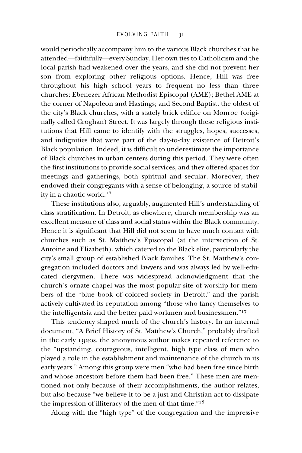would periodically accompany him to the various Black churches that he attended—faithfully—every Sunday. Her own ties to Catholicism and the local parish had weakened over the years, and she did not prevent her son from exploring other religious options. Hence, Hill was free throughout his high school years to frequent no less than three churches: Ebenezer African Methodist Episcopal (AME); Bethel AME at the corner of Napoleon and Hastings; and Second Baptist, the oldest of the city's Black churches, with a stately brick edifice on Monroe (originally called Croghan) Street. It was largely through these religious institutions that Hill came to identify with the struggles, hopes, successes, and indignities that were part of the day-to-day existence of Detroit's Black population. Indeed, it is difficult to underestimate the importance of Black churches in urban centers during this period. They were often the first institutions to provide social services, and they offered spaces for meetings and gatherings, both spiritual and secular. Moreover, they endowed their congregants with a sense of belonging, a source of stability in a chaotic world.<sup>16</sup>

These institutions also, arguably, augmented Hill's understanding of class stratification. In Detroit, as elsewhere, church membership was an excellent measure of class and social status within the Black community. Hence it is significant that Hill did not seem to have much contact with churches such as St. Matthew's Episcopal (at the intersection of St. Antoine and Elizabeth), which catered to the Black elite, particularly the city's small group of established Black families. The St. Matthew's congregation included doctors and lawyers and was always led by well-educated clergymen. There was widespread acknowledgment that the church's ornate chapel was the most popular site of worship for members of the "blue book of colored society in Detroit," and the parish actively cultivated its reputation among "those who fancy themselves to the intelligentsia and the better paid workmen and businessmen."17

This tendency shaped much of the church's history. In an internal document, "A Brief History of St. Matthew's Church," probably drafted in the early 1920s, the anonymous author makes repeated reference to the "upstanding, courageous, intelligent, high type class of men who played a role in the establishment and maintenance of the church in its early years." Among this group were men "who had been free since birth and whose ancestors before them had been free." These men are mentioned not only because of their accomplishments, the author relates, but also because "we believe it to be a just and Christian act to dissipate the impression of illiteracy of the men of that time."<sup>18</sup>

Along with the "high type" of the congregation and the impressive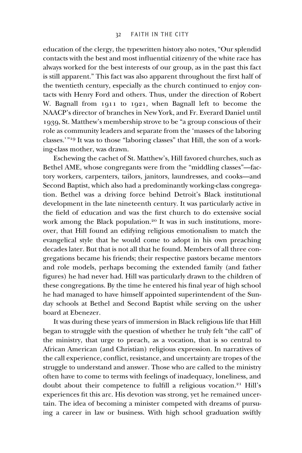education of the clergy, the typewritten history also notes, "Our splendid contacts with the best and most influential citizenry of the white race has always worked for the best interests of our group, as in the past this fact is still apparent." This fact was also apparent throughout the first half of the twentieth century, especially as the church continued to enjoy contacts with Henry Ford and others. Thus, under the direction of Robert W. Bagnall from 1911 to 1921, when Bagnall left to become the NAACP's director of branches in New York, and Fr. Everard Daniel until 1939, St. Matthew's membership strove to be "a group conscious of their role as community leaders and separate from the 'masses of the laboring classes.'"19 It was to those "laboring classes" that Hill, the son of a working-class mother, was drawn.

Eschewing the cachet of St. Matthew's, Hill favored churches, such as Bethel AME, whose congregants were from the "middling classes"—factory workers, carpenters, tailors, janitors, laundresses, and cooks—and Second Baptist, which also had a predominantly working-class congregation. Bethel was a driving force behind Detroit's Black institutional development in the late nineteenth century. It was particularly active in the field of education and was the first church to do extensive social work among the Black population.<sup>20</sup> It was in such institutions, moreover, that Hill found an edifying religious emotionalism to match the evangelical style that he would come to adopt in his own preaching decades later. But that is not all that he found. Members of all three congregations became his friends; their respective pastors became mentors and role models, perhaps becoming the extended family (and father figures) he had never had. Hill was particularly drawn to the children of these congregations. By the time he entered his final year of high school he had managed to have himself appointed superintendent of the Sunday schools at Bethel and Second Baptist while serving on the usher board at Ebenezer.

It was during these years of immersion in Black religious life that Hill began to struggle with the question of whether he truly felt "the call" of the ministry, that urge to preach, as a vocation, that is so central to African American (and Christian) religious expression. In narratives of the call experience, conflict, resistance, and uncertainty are tropes of the struggle to understand and answer. Those who are called to the ministry often have to come to terms with feelings of inadequacy, loneliness, and doubt about their competence to fulfill a religious vocation.<sup>21</sup> Hill's experiences fit this arc. His devotion was strong, yet he remained uncertain. The idea of becoming a minister competed with dreams of pursuing a career in law or business. With high school graduation swiftly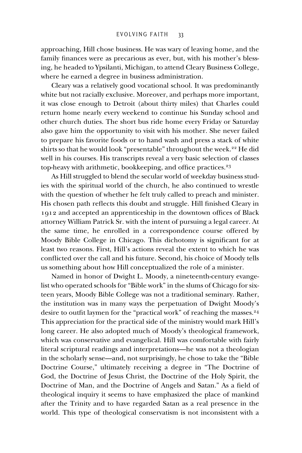approaching, Hill chose business. He was wary of leaving home, and the family finances were as precarious as ever, but, with his mother's blessing, he headed to Ypsilanti, Michigan, to attend Cleary Business College, where he earned a degree in business administration.

Cleary was a relatively good vocational school. It was predominantly white but not racially exclusive. Moreover, and perhaps more important, it was close enough to Detroit (about thirty miles) that Charles could return home nearly every weekend to continue his Sunday school and other church duties. The short bus ride home every Friday or Saturday also gave him the opportunity to visit with his mother. She never failed to prepare his favorite foods or to hand wash and press a stack of white shirts so that he would look "presentable" throughout the week.<sup>22</sup> He did well in his courses. His transcripts reveal a very basic selection of classes top-heavy with arithmetic, bookkeeping, and office practices.<sup>23</sup>

As Hill struggled to blend the secular world of weekday business studies with the spiritual world of the church, he also continued to wrestle with the question of whether he felt truly called to preach and minister. His chosen path reflects this doubt and struggle. Hill finished Cleary in 1912 and accepted an apprenticeship in the downtown offices of Black attorney William Patrick Sr. with the intent of pursuing a legal career. At the same time, he enrolled in a correspondence course offered by Moody Bible College in Chicago. This dichotomy is significant for at least two reasons. First, Hill's actions reveal the extent to which he was conflicted over the call and his future. Second, his choice of Moody tells us something about how Hill conceptualized the role of a minister.

Named in honor of Dwight L. Moody, a nineteenth-century evangelist who operated schools for "Bible work" in the slums of Chicago for sixteen years, Moody Bible College was not a traditional seminary. Rather, the institution was in many ways the perpetuation of Dwight Moody's desire to outfit laymen for the "practical work" of reaching the masses.<sup>24</sup> This appreciation for the practical side of the ministry would mark Hill's long career. He also adopted much of Moody's theological framework, which was conservative and evangelical. Hill was comfortable with fairly literal scriptural readings and interpretations—he was not a theologian in the scholarly sense—and, not surprisingly, he chose to take the "Bible Doctrine Course," ultimately receiving a degree in "The Doctrine of God, the Doctrine of Jesus Christ, the Doctrine of the Holy Spirit, the Doctrine of Man, and the Doctrine of Angels and Satan." As a field of theological inquiry it seems to have emphasized the place of mankind after the Trinity and to have regarded Satan as a real presence in the world. This type of theological conservatism is not inconsistent with a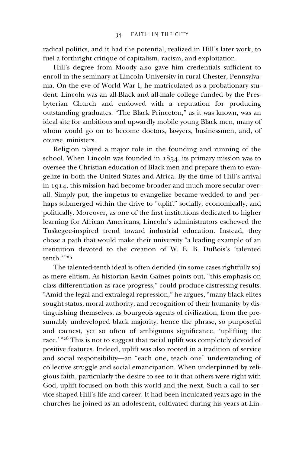radical politics, and it had the potential, realized in Hill's later work, to fuel a forthright critique of capitalism, racism, and exploitation.

Hill's degree from Moody also gave him credentials sufficient to enroll in the seminary at Lincoln University in rural Chester, Pennsylvania. On the eve of World War I, he matriculated as a probationary student. Lincoln was an all-Black and all-male college funded by the Presbyterian Church and endowed with a reputation for producing outstanding graduates. "The Black Princeton," as it was known, was an ideal site for ambitious and upwardly mobile young Black men, many of whom would go on to become doctors, lawyers, businessmen, and, of course, ministers.

Religion played a major role in the founding and running of the school. When Lincoln was founded in 1854, its primary mission was to oversee the Christian education of Black men and prepare them to evangelize in both the United States and Africa. By the time of Hill's arrival in 1914, this mission had become broader and much more secular overall. Simply put, the impetus to evangelize became wedded to and perhaps submerged within the drive to "uplift" socially, economically, and politically. Moreover, as one of the first institutions dedicated to higher learning for African Americans, Lincoln's administrators eschewed the Tuskegee-inspired trend toward industrial education. Instead, they chose a path that would make their university "a leading example of an institution devoted to the creation of W. E. B. DuBois's 'talented tenth.'"<sup>25</sup>

The talented-tenth ideal is often derided (in some cases rightfully so) as mere elitism. As historian Kevin Gaines points out, "this emphasis on class differentiation as race progress," could produce distressing results. "Amid the legal and extralegal repression," he argues, "many black elites sought status, moral authority, and recognition of their humanity by distinguishing themselves, as bourgeois agents of civilization, from the presumably undeveloped black majority; hence the phrase, so purposeful and earnest, yet so often of ambiguous significance, 'uplifting the race.'"26 This is not to suggest that racial uplift was completely devoid of positive features. Indeed, uplift was also rooted in a tradition of service and social responsibility—an "each one, teach one" understanding of collective struggle and social emancipation. When underpinned by religious faith, particularly the desire to see to it that others were right with God, uplift focused on both this world and the next. Such a call to service shaped Hill's life and career. It had been inculcated years ago in the churches he joined as an adolescent, cultivated during his years at Lin-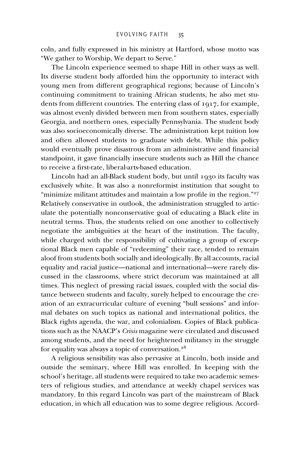coln, and fully expressed in his ministry at Hartford, whose motto was "We gather to Worship, We depart to Serve."

The Lincoln experience seemed to shape Hill in other ways as well. Its diverse student body afforded him the opportunity to interact with young men from different geographical regions; because of Lincoln's continuing commitment to training African students, he also met students from different countries. The entering class of 1917, for example, was almost evenly divided between men from southern states, especially Georgia, and northern ones, especially Pennsylvania. The student body was also socioeconomically diverse. The administration kept tuition low and often allowed students to graduate with debt. While this policy would eventually prove disastrous from an administrative and financial standpoint, it gave financially insecure students such as Hill the chance to receive a first-rate, liberal-arts-based education.

Lincoln had an all-Black student body, but until 1930 its faculty was exclusively white. It was also a nonreformist institution that sought to "minimize militant attitudes and maintain a low profile in the region."<sup>27</sup> Relatively conservative in outlook, the administration struggled to articulate the potentially nonconservative goal of educating a Black elite in neutral terms. Thus, the students relied on one another to collectively negotiate the ambiguities at the heart of the institution. The faculty, while charged with the responsibility of cultivating a group of exceptional Black men capable of "redeeming" their race, tended to remain aloof from students both socially and ideologically. By all accounts, racial equality and racial justice—national and international—were rarely discussed in the classrooms, where strict decorum was maintained at all times. This neglect of pressing racial issues, coupled with the social distance between students and faculty, surely helped to encourage the creation of an extracurricular culture of evening "bull sessions" and informal debates on such topics as national and international politics, the Black rights agenda, the war, and colonialism. Copies of Black publications such as the NAACP's *Crisis* magazine were circulated and discussed among students, and the need for heightened militancy in the struggle for equality was always a topic of conversation. $28$ 

A religious sensibility was also pervasive at Lincoln, both inside and outside the seminary, where Hill was enrolled. In keeping with the school's heritage, all students were required to take two academic semesters of religious studies, and attendance at weekly chapel services was mandatory. In this regard Lincoln was part of the mainstream of Black education, in which all education was to some degree religious. Accord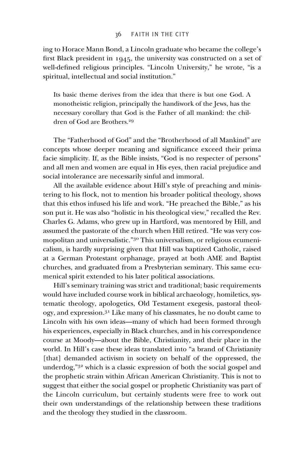ing to Horace Mann Bond, a Lincoln graduate who became the college's first Black president in 1945, the university was constructed on a set of well-defined religious principles. "Lincoln University," he wrote, "is a spiritual, intellectual and social institution."

Its basic theme derives from the idea that there is but one God. A monotheistic religion, principally the handiwork of the Jews, has the necessary corollary that God is the Father of all mankind: the children of God are Brothers.<sup>29</sup>

The "Fatherhood of God" and the "Brotherhood of all Mankind" are concepts whose deeper meaning and significance exceed their prima facie simplicity. If, as the Bible insists, "God is no respecter of persons" and all men and women are equal in His eyes, then racial prejudice and social intolerance are necessarily sinful and immoral.

All the available evidence about Hill's style of preaching and ministering to his flock, not to mention his broader political theology, shows that this ethos infused his life and work. "He preached the Bible," as his son put it. He was also "holistic in his theological view," recalled the Rev. Charles G. Adams, who grew up in Hartford, was mentored by Hill, and assumed the pastorate of the church when Hill retired. "He was very cosmopolitan and universalistic."<sup>30</sup> This universalism, or religious ecumenicalism, is hardly surprising given that Hill was baptized Catholic, raised at a German Protestant orphanage, prayed at both AME and Baptist churches, and graduated from a Presbyterian seminary. This same ecumenical spirit extended to his later political associations.

Hill's seminary training was strict and traditional; basic requirements would have included course work in biblical archaeology, homiletics, systematic theology, apologetics, Old Testament exegesis, pastoral theology, and expression.<sup>31</sup> Like many of his classmates, he no doubt came to Lincoln with his own ideas—many of which had been formed through his experiences, especially in Black churches, and in his correspondence course at Moody—about the Bible, Christianity, and their place in the world. In Hill's case these ideas translated into "a brand of Christianity [that] demanded activism in society on behalf of the oppressed, the underdog,"<sup>32</sup> which is a classic expression of both the social gospel and the prophetic strain within African American Christianity. This is not to suggest that either the social gospel or prophetic Christianity was part of the Lincoln curriculum, but certainly students were free to work out their own understandings of the relationship between these traditions and the theology they studied in the classroom.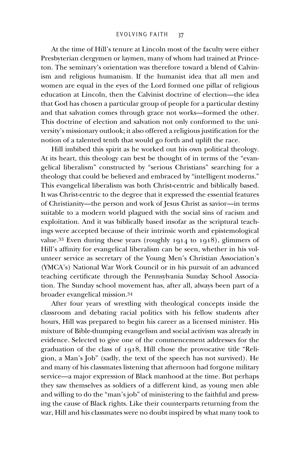At the time of Hill's tenure at Lincoln most of the faculty were either Presbyterian clergymen or laymen, many of whom had trained at Princeton. The seminary's orientation was therefore toward a blend of Calvinism and religious humanism. If the humanist idea that all men and women are equal in the eyes of the Lord formed one pillar of religious education at Lincoln, then the Calvinist doctrine of election—the idea that God has chosen a particular group of people for a particular destiny and that salvation comes through grace not works—formed the other. This doctrine of election and salvation not only conformed to the university's missionary outlook; it also offered a religious justification for the notion of a talented tenth that would go forth and uplift the race.

Hill imbibed this spirit as he worked out his own political theology. At its heart, this theology can best be thought of in terms of the "evangelical liberalism" constructed by "serious Christians" searching for a theology that could be believed and embraced by "intelligent moderns." This evangelical liberalism was both Christ-centric and biblically based. It was Christ-centric to the degree that it expressed the essential features of Christianity—the person and work of Jesus Christ as savior—in terms suitable to a modern world plagued with the social sins of racism and exploitation. And it was biblically based insofar as the scriptural teachings were accepted because of their intrinsic worth and epistemological value.33 Even during these years (roughly 1914 to 1918), glimmers of Hill's affinity for evangelical liberalism can be seen, whether in his volunteer service as secretary of the Young Men's Christian Association's (YMCA's) National War Work Council or in his pursuit of an advanced teaching certificate through the Pennsylvania Sunday School Association. The Sunday school movement has, after all, always been part of a broader evangelical mission.34

After four years of wrestling with theological concepts inside the classroom and debating racial politics with his fellow students after hours, Hill was prepared to begin his career as a licensed minister. His mixture of Bible-thumping evangelism and social activism was already in evidence. Selected to give one of the commencement addresses for the graduation of the class of 1918, Hill chose the provocative title "Religion, a Man's Job" (sadly, the text of the speech has not survived). He and many of his classmates listening that afternoon had forgone military service—a major expression of Black manhood at the time. But perhaps they saw themselves as soldiers of a different kind, as young men able and willing to do the "man's job" of ministering to the faithful and pressing the cause of Black rights. Like their counterparts returning from the war, Hill and his classmates were no doubt inspired by what many took to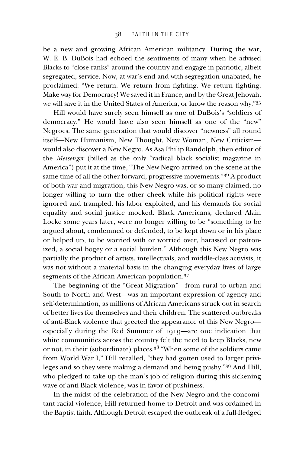be a new and growing African American militancy. During the war, W. E. B. DuBois had echoed the sentiments of many when he advised Blacks to "close ranks" around the country and engage in patriotic, albeit segregated, service. Now, at war's end and with segregation unabated, he proclaimed: "We return. We return from fighting. We return fighting. Make way for Democracy! We saved it in France, and by the Great Jehovah, we will save it in the United States of America, or know the reason why."35

Hill would have surely seen himself as one of DuBois's "soldiers of democracy." He would have also seen himself as one of the "new" Negroes. The same generation that would discover "newness" all round itself—New Humanism, New Thought, New Woman, New Criticism would also discover a New Negro. As Asa Philip Randolph, then editor of the *Messenger* (billed as the only "radical black socialist magazine in America") put it at the time, "The New Negro arrived on the scene at the same time of all the other forward, progressive movements."36 A product of both war and migration, this New Negro was, or so many claimed, no longer willing to turn the other cheek while his political rights were ignored and trampled, his labor exploited, and his demands for social equality and social justice mocked. Black Americans, declared Alain Locke some years later, were no longer willing to be "something to be argued about, condemned or defended, to be kept down or in his place or helped up, to be worried with or worried over, harassed or patronized, a social bogey or a social burden." Although this New Negro was partially the product of artists, intellectuals, and middle-class activists, it was not without a material basis in the changing everyday lives of large segments of the African American population.37

The beginning of the "Great Migration"—from rural to urban and South to North and West—was an important expression of agency and self-determination, as millions of African Americans struck out in search of better lives for themselves and their children. The scattered outbreaks of anti-Black violence that greeted the appearance of this New Negro especially during the Red Summer of 1919—are one indication that white communities across the country felt the need to keep Blacks, new or not, in their (subordinate) places.<sup>38</sup> "When some of the soldiers came from World War I," Hill recalled, "they had gotten used to larger privileges and so they were making a demand and being pushy."39 And Hill, who pledged to take up the man's job of religion during this sickening wave of anti-Black violence, was in favor of pushiness.

In the midst of the celebration of the New Negro and the concomitant racial violence, Hill returned home to Detroit and was ordained in the Baptist faith. Although Detroit escaped the outbreak of a full-fledged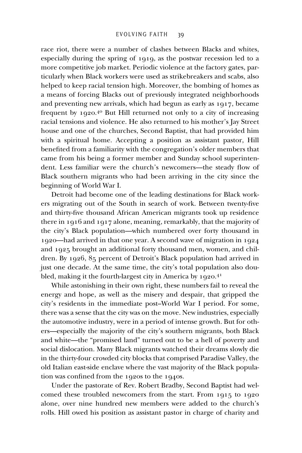race riot, there were a number of clashes between Blacks and whites, especially during the spring of 1919, as the postwar recession led to a more competitive job market. Periodic violence at the factory gates, particularly when Black workers were used as strikebreakers and scabs, also helped to keep racial tension high. Moreover, the bombing of homes as a means of forcing Blacks out of previously integrated neighborhoods and preventing new arrivals, which had begun as early as 1917, became frequent by 1920.40 But Hill returned not only to a city of increasing racial tensions and violence. He also returned to his mother's Jay Street house and one of the churches, Second Baptist, that had provided him with a spiritual home. Accepting a position as assistant pastor, Hill benefited from a familiarity with the congregation's older members that came from his being a former member and Sunday school superintendent. Less familiar were the church's newcomers—the steady flow of Black southern migrants who had been arriving in the city since the beginning of World War I.

Detroit had become one of the leading destinations for Black workers migrating out of the South in search of work. Between twenty-five and thirty-five thousand African American migrants took up residence there in 1916 and 1917 alone, meaning, remarkably, that the majority of the city's Black population—which numbered over forty thousand in 1920—had arrived in that one year. A second wave of migration in 1924 and 1925 brought an additional forty thousand men, women, and children. By 1926, 85 percent of Detroit's Black population had arrived in just one decade. At the same time, the city's total population also doubled, making it the fourth-largest city in America by 1920.<sup>41</sup>

While astonishing in their own right, these numbers fail to reveal the energy and hope, as well as the misery and despair, that gripped the city's residents in the immediate post–World War I period. For some, there was a sense that the city was on the move. New industries, especially the automotive industry, were in a period of intense growth. But for others—especially the majority of the city's southern migrants, both Black and white—the "promised land" turned out to be a hell of poverty and social dislocation. Many Black migrants watched their dreams slowly die in the thirty-four crowded city blocks that comprised Paradise Valley, the old Italian east-side enclave where the vast majority of the Black population was confined from the 1920s to the 1940s.

Under the pastorate of Rev. Robert Bradby, Second Baptist had welcomed these troubled newcomers from the start. From 1915 to 1920 alone, over nine hundred new members were added to the church's rolls. Hill owed his position as assistant pastor in charge of charity and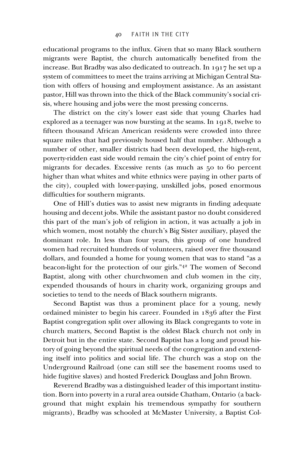educational programs to the influx. Given that so many Black southern migrants were Baptist, the church automatically benefited from the increase. But Bradby was also dedicated to outreach. In 1917 he set up a system of committees to meet the trains arriving at Michigan Central Station with offers of housing and employment assistance. As an assistant pastor, Hill was thrown into the thick of the Black community's social crisis, where housing and jobs were the most pressing concerns.

The district on the city's lower east side that young Charles had explored as a teenager was now bursting at the seams. In 1918, twelve to fifteen thousand African American residents were crowded into three square miles that had previously housed half that number. Although a number of other, smaller districts had been developed, the high-rent, poverty-ridden east side would remain the city's chief point of entry for migrants for decades. Excessive rents (as much as 50 to 60 percent higher than what whites and white ethnics were paying in other parts of the city), coupled with lower-paying, unskilled jobs, posed enormous difficulties for southern migrants.

One of Hill's duties was to assist new migrants in finding adequate housing and decent jobs. While the assistant pastor no doubt considered this part of the man's job of religion in action, it was actually a job in which women, most notably the church's Big Sister auxiliary, played the dominant role. In less than four years, this group of one hundred women had recruited hundreds of volunteers, raised over five thousand dollars, and founded a home for young women that was to stand "as a beacon-light for the protection of our girls."<sup>42</sup> The women of Second Baptist, along with other churchwomen and club women in the city, expended thousands of hours in charity work, organizing groups and societies to tend to the needs of Black southern migrants.

Second Baptist was thus a prominent place for a young, newly ordained minister to begin his career. Founded in 1836 after the First Baptist congregation split over allowing its Black congregants to vote in church matters, Second Baptist is the oldest Black church not only in Detroit but in the entire state. Second Baptist has a long and proud history of going beyond the spiritual needs of the congregation and extending itself into politics and social life. The church was a stop on the Underground Railroad (one can still see the basement rooms used to hide fugitive slaves) and hosted Frederick Douglass and John Brown.

Reverend Bradby was a distinguished leader of this important institution. Born into poverty in a rural area outside Chatham, Ontario (a background that might explain his tremendous sympathy for southern migrants), Bradby was schooled at McMaster University, a Baptist Col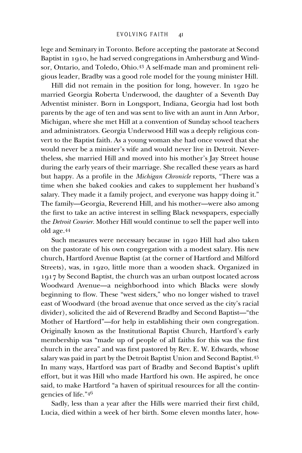lege and Seminary in Toronto. Before accepting the pastorate at Second Baptist in 1910, he had served congregations in Amherstburg and Windsor, Ontario, and Toledo, Ohio.<sup>43</sup> A self-made man and prominent religious leader, Bradby was a good role model for the young minister Hill.

Hill did not remain in the position for long, however. In 1920 he married Georgia Roberta Underwood, the daughter of a Seventh Day Adventist minister. Born in Longsport, Indiana, Georgia had lost both parents by the age of ten and was sent to live with an aunt in Ann Arbor, Michigan, where she met Hill at a convention of Sunday school teachers and administrators. Georgia Underwood Hill was a deeply religious convert to the Baptist faith. As a young woman she had once vowed that she would never be a minister's wife and would never live in Detroit. Nevertheless, she married Hill and moved into his mother's Jay Street house during the early years of their marriage. She recalled these years as hard but happy. As a profile in the *Michigan Chronicle* reports, "There was a time when she baked cookies and cakes to supplement her husband's salary. They made it a family project, and everyone was happy doing it." The family—Georgia, Reverend Hill, and his mother—were also among the first to take an active interest in selling Black newspapers, especially the *Detroit Courier.* Mother Hill would continue to sell the paper well into old age.<sup>44</sup>

Such measures were necessary because in 1920 Hill had also taken on the pastorate of his own congregation with a modest salary. His new church, Hartford Avenue Baptist (at the corner of Hartford and Milford Streets), was, in 1920, little more than a wooden shack. Organized in 1917 by Second Baptist, the church was an urban outpost located across Woodward Avenue—a neighborhood into which Blacks were slowly beginning to flow. These "west siders," who no longer wished to travel east of Woodward (the broad avenue that once served as the city's racial divider), solicited the aid of Reverend Bradby and Second Baptist—"the Mother of Hartford"—for help in establishing their own congregation. Originally known as the Institutional Baptist Church, Hartford's early membership was "made up of people of all faiths for this was the first church in the area" and was first pastored by Rev. E. W. Edwards, whose salary was paid in part by the Detroit Baptist Union and Second Baptist.<sup>45</sup> In many ways, Hartford was part of Bradby and Second Baptist's uplift effort, but it was Hill who made Hartford his own. He aspired, he once said, to make Hartford "a haven of spiritual resources for all the contingencies of life."<sup>46</sup>

Sadly, less than a year after the Hills were married their first child, Lucia, died within a week of her birth. Some eleven months later, how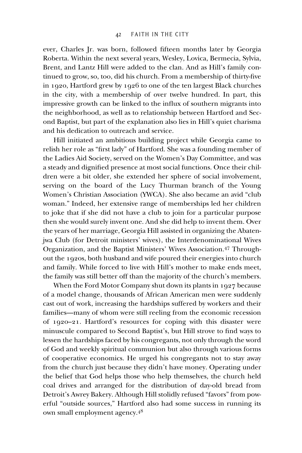ever, Charles Jr. was born, followed fifteen months later by Georgia Roberta. Within the next several years, Wesley, Lovica, Bermecia, Sylvia, Brent, and Lantz Hill were added to the clan. And as Hill's family continued to grow, so, too, did his church. From a membership of thirty-five in 1920, Hartford grew by 1926 to one of the ten largest Black churches in the city, with a membership of over twelve hundred. In part, this impressive growth can be linked to the influx of southern migrants into the neighborhood, as well as to relationship between Hartford and Second Baptist, but part of the explanation also lies in Hill's quiet charisma and his dedication to outreach and service.

Hill initiated an ambitious building project while Georgia came to relish her role as "first lady" of Hartford. She was a founding member of the Ladies Aid Society, served on the Women's Day Committee, and was a steady and dignified presence at most social functions. Once their children were a bit older, she extended her sphere of social involvement, serving on the board of the Lucy Thurman branch of the Young Women's Christian Association (YWCA). She also became an avid "club woman." Indeed, her extensive range of memberships led her children to joke that if she did not have a club to join for a particular purpose then she would surely invent one. And she did help to invent them. Over the years of her marriage, Georgia Hill assisted in organizing the Abatenjwa Club (for Detroit ministers' wives), the Interdenominational Wives Organization, and the Baptist Ministers' Wives Association.<sup>47</sup> Throughout the 1920s, both husband and wife poured their energies into church and family. While forced to live with Hill's mother to make ends meet, the family was still better off than the majority of the church's members.

When the Ford Motor Company shut down its plants in 1927 because of a model change, thousands of African American men were suddenly cast out of work, increasing the hardships suffered by workers and their families—many of whom were still reeling from the economic recession of 1920–21. Hartford's resources for coping with this disaster were minuscule compared to Second Baptist's, but Hill strove to find ways to lessen the hardships faced by his congregants, not only through the word of God and weekly spiritual communion but also through various forms of cooperative economics. He urged his congregants not to stay away from the church just because they didn't have money. Operating under the belief that God helps those who help themselves, the church held coal drives and arranged for the distribution of day-old bread from Detroit's Awrey Bakery. Although Hill stolidly refused "favors" from powerful "outside sources," Hartford also had some success in running its own small employment agency.48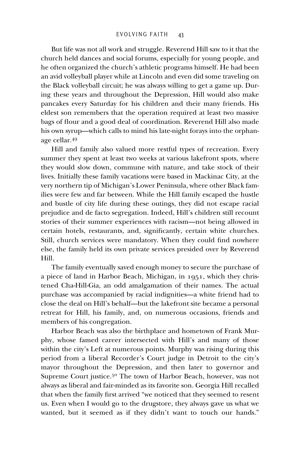But life was not all work and struggle. Reverend Hill saw to it that the church held dances and social forums, especially for young people, and he often organized the church's athletic programs himself. He had been an avid volleyball player while at Lincoln and even did some traveling on the Black volleyball circuit; he was always willing to get a game up. During these years and throughout the Depression, Hill would also make pancakes every Saturday for his children and their many friends. His eldest son remembers that the operation required at least two massive bags of flour and a good deal of coordination. Reverend Hill also made his own syrup—which calls to mind his late-night forays into the orphanage cellar.49

Hill and family also valued more restful types of recreation. Every summer they spent at least two weeks at various lakefront spots, where they would slow down, commune with nature, and take stock of their lives. Initially these family vacations were based in Mackinac City, at the very northern tip of Michigan's Lower Peninsula, where other Black families were few and far between. While the Hill family escaped the hustle and bustle of city life during these outings, they did not escape racial prejudice and de facto segregation. Indeed, Hill's children still recount stories of their summer experiences with racism—not being allowed in certain hotels, restaurants, and, significantly, certain white churches. Still, church services were mandatory. When they could find nowhere else, the family held its own private services presided over by Reverend Hill.

The family eventually saved enough money to secure the purchase of a piece of land in Harbor Beach, Michigan, in 1951, which they christened Cha-Hill-Gia, an odd amalgamation of their names. The actual purchase was accompanied by racial indignities—a white friend had to close the deal on Hill's behalf—but the lakefront site became a personal retreat for Hill, his family, and, on numerous occasions, friends and members of his congregation.

Harbor Beach was also the birthplace and hometown of Frank Murphy, whose famed career intersected with Hill's and many of those within the city's Left at numerous points. Murphy was rising during this period from a liberal Recorder's Court judge in Detroit to the city's mayor throughout the Depression, and then later to governor and Supreme Court justice.<sup>50</sup> The town of Harbor Beach, however, was not always as liberal and fair-minded as its favorite son. Georgia Hill recalled that when the family first arrived "we noticed that they seemed to resent us. Even when I would go to the drugstore, they always gave us what we wanted, but it seemed as if they didn't want to touch our hands."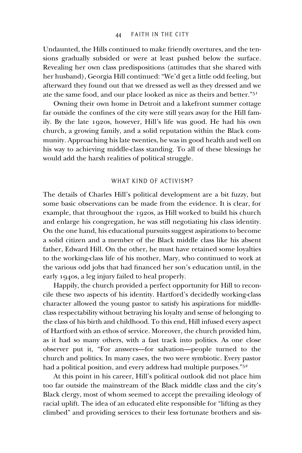Undaunted, the Hills continued to make friendly overtures, and the tensions gradually subsided or were at least pushed below the surface. Revealing her own class predispositions (attitudes that she shared with her husband), Georgia Hill continued: "We'd get a little odd feeling, but afterward they found out that we dressed as well as they dressed and we ate the same food, and our place looked as nice as theirs and better."51

Owning their own home in Detroit and a lakefront summer cottage far outside the confines of the city were still years away for the Hill family. By the late 1920s, however, Hill's life was good. He had his own church, a growing family, and a solid reputation within the Black community. Approaching his late twenties, he was in good health and well on his way to achieving middle-class standing. To all of these blessings he would add the harsh realities of political struggle.

## WHAT KIND OF ACTIVISM?

The details of Charles Hill's political development are a bit fuzzy, but some basic observations can be made from the evidence. It is clear, for example, that throughout the 1920s, as Hill worked to build his church and enlarge his congregation, he was still negotiating his class identity. On the one hand, his educational pursuits suggest aspirations to become a solid citizen and a member of the Black middle class like his absent father, Edward Hill. On the other, he must have retained some loyalties to the working-class life of his mother, Mary, who continued to work at the various odd jobs that had financed her son's education until, in the early 1940s, a leg injury failed to heal properly.

Happily, the church provided a perfect opportunity for Hill to reconcile these two aspects of his identity. Hartford's decidedly working-class character allowed the young pastor to satisfy his aspirations for middleclass respectability without betraying his loyalty and sense of belonging to the class of his birth and childhood. To this end, Hill infused every aspect of Hartford with an ethos of service. Moreover, the church provided him, as it had so many others, with a fast track into politics. As one close observer put it, "For answers—for salvation—people turned to the church and politics. In many cases, the two were symbiotic. Every pastor had a political position, and every address had multiple purposes."<sup>52</sup>

At this point in his career, Hill's political outlook did not place him too far outside the mainstream of the Black middle class and the city's Black clergy, most of whom seemed to accept the prevailing ideology of racial uplift. The idea of an educated elite responsible for "lifting as they climbed" and providing services to their less fortunate brothers and sis-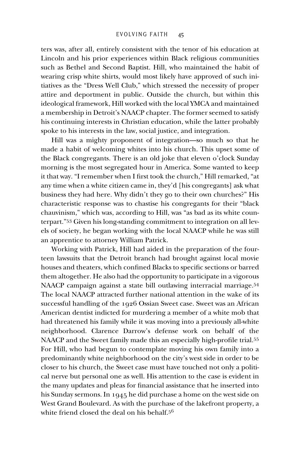ters was, after all, entirely consistent with the tenor of his education at Lincoln and his prior experiences within Black religious communities such as Bethel and Second Baptist. Hill, who maintained the habit of wearing crisp white shirts, would most likely have approved of such initiatives as the "Dress Well Club," which stressed the necessity of proper attire and deportment in public. Outside the church, but within this ideological framework, Hill worked with the local YMCA and maintained a membership in Detroit's NAACP chapter. The former seemed to satisfy his continuing interests in Christian education, while the latter probably spoke to his interests in the law, social justice, and integration.

Hill was a mighty proponent of integration—so much so that he made a habit of welcoming whites into his church. This upset some of the Black congregants. There is an old joke that eleven o'clock Sunday morning is the most segregated hour in America. Some wanted to keep it that way. "I remember when I first took the church," Hill remarked, "at any time when a white citizen came in, they'd [his congregants] ask what business they had here. Why didn't they go to their own churches?" His characteristic response was to chastise his congregants for their "black chauvinism," which was, according to Hill, was "as bad as its white counterpart."53 Given his long-standing commitment to integration on all levels of society, he began working with the local NAACP while he was still an apprentice to attorney William Patrick.

Working with Patrick, Hill had aided in the preparation of the fourteen lawsuits that the Detroit branch had brought against local movie houses and theaters, which confined Blacks to specific sections or barred them altogether. He also had the opportunity to participate in a vigorous NAACP campaign against a state bill outlawing interracial marriage.54 The local NAACP attracted further national attention in the wake of its successful handling of the 1926 Ossian Sweet case. Sweet was an African American dentist indicted for murdering a member of a white mob that had threatened his family while it was moving into a previously all-white neighborhood. Clarence Darrow's defense work on behalf of the NAACP and the Sweet family made this an especially high-profile trial.<sup>55</sup> For Hill, who had begun to contemplate moving his own family into a predominantly white neighborhood on the city's west side in order to be closer to his church, the Sweet case must have touched not only a political nerve but personal one as well. His attention to the case is evident in the many updates and pleas for financial assistance that he inserted into his Sunday sermons. In 1945 he did purchase a home on the west side on West Grand Boulevard. As with the purchase of the lakefront property, a white friend closed the deal on his behalf.<sup>56</sup>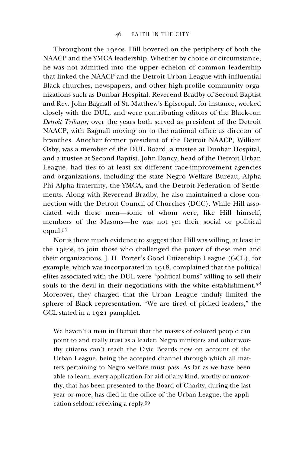Throughout the 1920s, Hill hovered on the periphery of both the NAACP and the YMCA leadership. Whether by choice or circumstance, he was not admitted into the upper echelon of common leadership that linked the NAACP and the Detroit Urban League with influential Black churches, newspapers, and other high-profile community organizations such as Dunbar Hospital. Reverend Bradby of Second Baptist and Rev. John Bagnall of St. Matthew's Episcopal, for instance, worked closely with the DUL, and were contributing editors of the Black-run *Detroit Tribune;* over the years both served as president of the Detroit NAACP, with Bagnall moving on to the national office as director of branches. Another former president of the Detroit NAACP, William Osby, was a member of the DUL Board, a trustee at Dunbar Hospital, and a trustee at Second Baptist. John Dancy, head of the Detroit Urban League, had ties to at least six different race-improvement agencies and organizations, including the state Negro Welfare Bureau, Alpha Phi Alpha fraternity, the YMCA, and the Detroit Federation of Settlements. Along with Reverend Bradby, he also maintained a close connection with the Detroit Council of Churches (DCC). While Hill associated with these men—some of whom were, like Hill himself, members of the Masons—he was not yet their social or political equal.<sup>57</sup>

Nor is there much evidence to suggest that Hill was willing, at least in the 1920s, to join those who challenged the power of these men and their organizations. J. H. Porter's Good Citizenship League (GCL), for example, which was incorporated in 1918, complained that the political elites associated with the DUL were "political bums" willing to sell their souls to the devil in their negotiations with the white establishment.<sup>58</sup> Moreover, they charged that the Urban League unduly limited the sphere of Black representation. "We are tired of picked leaders," the GCL stated in a 1921 pamphlet.

We haven't a man in Detroit that the masses of colored people can point to and really trust as a leader. Negro ministers and other worthy citizens can't reach the Civic Boards now on account of the Urban League, being the accepted channel through which all matters pertaining to Negro welfare must pass. As far as we have been able to learn, every application for aid of any kind, worthy or unworthy, that has been presented to the Board of Charity, during the last year or more, has died in the office of the Urban League, the application seldom receiving a reply.59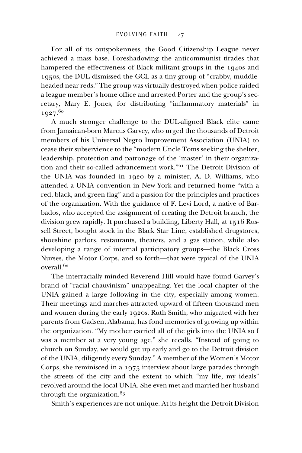For all of its outspokenness, the Good Citizenship League never achieved a mass base. Foreshadowing the anticommunist tirades that hampered the effectiveness of Black militant groups in the 1940s and 1950s, the DUL dismissed the GCL as a tiny group of "crabby, muddleheaded near reds." The group was virtually destroyed when police raided a league member's home office and arrested Porter and the group's secretary, Mary E. Jones, for distributing "inflammatory materials" in  $1927.60$ 

A much stronger challenge to the DUL-aligned Black elite came from Jamaican-born Marcus Garvey, who urged the thousands of Detroit members of his Universal Negro Improvement Association (UNIA) to cease their subservience to the "modern Uncle Toms seeking the shelter, leadership, protection and patronage of the 'master' in their organization and their so-called advancement work."61 The Detroit Division of the UNIA was founded in 1920 by a minister, A. D. Williams, who attended a UNIA convention in New York and returned home "with a red, black, and green flag" and a passion for the principles and practices of the organization. With the guidance of F. Levi Lord, a native of Barbados, who accepted the assignment of creating the Detroit branch, the division grew rapidly. It purchased a building, Liberty Hall, at 1516 Russell Street, bought stock in the Black Star Line, established drugstores, shoeshine parlors, restaurants, theaters, and a gas station, while also developing a range of internal participatory groups—the Black Cross Nurses, the Motor Corps, and so forth—that were typical of the UNIA overall.62

The interracially minded Reverend Hill would have found Garvey's brand of "racial chauvinism" unappealing. Yet the local chapter of the UNIA gained a large following in the city, especially among women. Their meetings and marches attracted upward of fifteen thousand men and women during the early 1920s. Ruth Smith, who migrated with her parents from Gadsen, Alabama, has fond memories of growing up within the organization. "My mother carried all of the girls into the UNIA so I was a member at a very young age," she recalls. "Instead of going to church on Sunday, we would get up early and go to the Detroit division of the UNIA, diligently every Sunday." A member of the Women's Motor Corps, she reminisced in a 1975 interview about large parades through the streets of the city and the extent to which "my life, my ideals" revolved around the local UNIA. She even met and married her husband through the organization. $63$ 

Smith's experiences are not unique. At its height the Detroit Division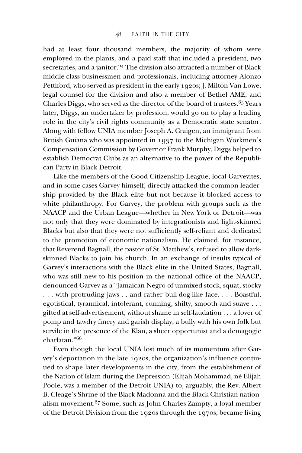had at least four thousand members, the majority of whom were employed in the plants, and a paid staff that included a president, two secretaries, and a janitor.<sup>64</sup> The division also attracted a number of Black middle-class businessmen and professionals, including attorney Alonzo Pettiford, who served as president in the early 1920s; J. Milton Van Lowe, legal counsel for the division and also a member of Bethel AME; and Charles Diggs, who served as the director of the board of trustees.  $65$  Years later, Diggs, an undertaker by profession, would go on to play a leading role in the city's civil rights community as a Democratic state senator. Along with fellow UNIA member Joseph A. Craigen, an immigrant from British Guiana who was appointed in 1937 to the Michigan Workmen's Compensation Commission by Governor Frank Murphy, Diggs helped to establish Democrat Clubs as an alternative to the power of the Republican Party in Black Detroit.

Like the members of the Good Citizenship League, local Garveyites, and in some cases Garvey himself, directly attacked the common leadership provided by the Black elite but not because it blocked access to white philanthropy. For Garvey, the problem with groups such as the NAACP and the Urban League—whether in New York or Detroit—was not only that they were dominated by integrationists and light-skinned Blacks but also that they were not sufficiently self-reliant and dedicated to the promotion of economic nationalism. He claimed, for instance, that Reverend Bagnall, the pastor of St. Matthew's, refused to allow darkskinned Blacks to join his church. In an exchange of insults typical of Garvey's interactions with the Black elite in the United States, Bagnall, who was still new to his position in the national office of the NAACP, denounced Garvey as a "Jamaican Negro of unmixed stock, squat, stocky . . . with protruding jaws . . and rather bull-dog-like face. . . . Boastful, egotistical, tyrannical, intolerant, cunning, shifty, smooth and suave . . . gifted at self-advertisement, without shame in self-laudation . . . a lover of pomp and tawdry finery and garish display, a bully with his own folk but servile in the presence of the Klan, a sheer opportunist and a demagogic charlatan."66

Even though the local UNIA lost much of its momentum after Garvey's deportation in the late 1920s, the organization's influence continued to shape later developments in the city, from the establishment of the Nation of Islam during the Depression (Elijah Mohammad, né Elijah Poole, was a member of the Detroit UNIA) to, arguably, the Rev. Albert B. Cleage's Shrine of the Black Madonna and the Black Christian nationalism movement.<sup>67</sup> Some, such as John Charles Zampty, a loyal member of the Detroit Division from the 1920s through the 1970s, became living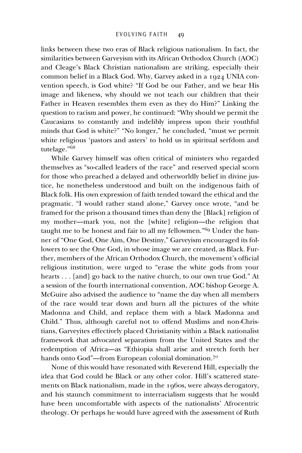links between these two eras of Black religious nationalism. In fact, the similarities between Garveyism with its African Orthodox Church (AOC) and Cleage's Black Christian nationalism are striking, especially their common belief in a Black God. Why, Garvey asked in a 1924 UNIA convention speech, is God white? "If God be our Father, and we bear His image and likeness, why should we not teach our children that their Father in Heaven resembles them even as they do Him?" Linking the question to racism and power, he continued: "Why should we permit the Caucasians to constantly and indelibly impress upon their youthful minds that God is white?" "No longer," he concluded, "must we permit white religious 'pastors and asters' to hold us in spiritual serfdom and tutelage."68

While Garvey himself was often critical of ministers who regarded themselves as "so-called leaders of the race" and reserved special scorn for those who preached a delayed and otherworldly belief in divine justice, he nonetheless understood and built on the indigenous faith of Black folk. His own expression of faith tended toward the ethical and the pragmatic. "I would rather stand alone," Garvey once wrote, "and be framed for the prison a thousand times than deny the [Black] religion of my mother—mark you, not the [white] religion—the religion that taught me to be honest and fair to all my fellowmen."<sup>69</sup> Under the banner of "One God, One Aim, One Destiny," Garveyism encouraged its followers to see the One God, in whose image we are created, as Black. Further, members of the African Orthodox Church, the movement's official religious institution, were urged to "erase the white gods from your hearts . . . [and] go back to the native church, to our own true God." At a session of the fourth international convention, AOC bishop George A. McGuire also advised the audience to "name the day when all members of the race would tear down and burn all the pictures of the white Madonna and Child, and replace them with a black Madonna and Child." Thus, although careful not to offend Muslims and non-Christians, Garveyites effectively placed Christianity within a Black nationalist framework that advocated separatism from the United States and the redemption of Africa—as "Ethiopia shall arise and stretch forth her hands onto God"—from European colonial domination.<sup>70</sup>

None of this would have resonated with Reverend Hill, especially the idea that God could be Black or any other color. Hill's scattered statements on Black nationalism, made in the 1960s, were always derogatory, and his staunch commitment to interracialism suggests that he would have been uncomfortable with aspects of the nationalists' Afrocentric theology. Or perhaps he would have agreed with the assessment of Ruth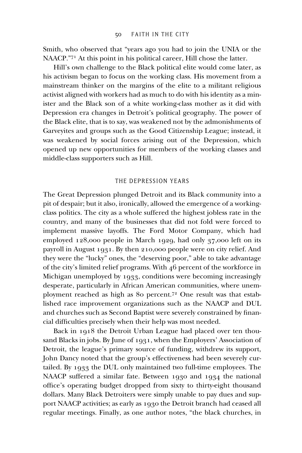Smith, who observed that "years ago you had to join the UNIA or the NAACP."<sup>71</sup> At this point in his political career, Hill chose the latter.

Hill's own challenge to the Black political elite would come later, as his activism began to focus on the working class. His movement from a mainstream thinker on the margins of the elite to a militant religious activist aligned with workers had as much to do with his identity as a minister and the Black son of a white working-class mother as it did with Depression era changes in Detroit's political geography. The power of the Black elite, that is to say, was weakened not by the admonishments of Garveyites and groups such as the Good Citizenship League; instead, it was weakened by social forces arising out of the Depression, which opened up new opportunities for members of the working classes and middle-class supporters such as Hill.

### THE DEPRESSION YEARS

The Great Depression plunged Detroit and its Black community into a pit of despair; but it also, ironically, allowed the emergence of a workingclass politics. The city as a whole suffered the highest jobless rate in the country, and many of the businesses that did not fold were forced to implement massive layoffs. The Ford Motor Company, which had employed 128,000 people in March 1929, had only 37,000 left on its payroll in August 1931. By then 210,000 people were on city relief. And they were the "lucky" ones, the "deserving poor," able to take advantage of the city's limited relief programs. With 46 percent of the workforce in Michigan unemployed by 1933, conditions were becoming increasingly desperate, particularly in African American communities, where unemployment reached as high as 80 percent.72 One result was that established race improvement organizations such as the NAACP and DUL and churches such as Second Baptist were severely constrained by financial difficulties precisely when their help was most needed.

Back in 1918 the Detroit Urban League had placed over ten thousand Blacks in jobs. By June of 1931, when the Employers' Association of Detroit, the league's primary source of funding, withdrew its support, John Dancy noted that the group's effectiveness had been severely curtailed. By 1933 the DUL only maintained two full-time employees. The NAACP suffered a similar fate. Between 1930 and 1934 the national office's operating budget dropped from sixty to thirty-eight thousand dollars. Many Black Detroiters were simply unable to pay dues and support NAACP activities; as early as 1930 the Detroit branch had ceased all regular meetings. Finally, as one author notes, "the black churches, in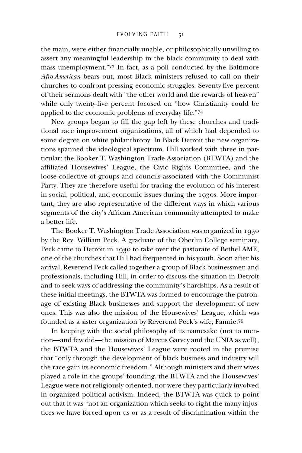the main, were either financially unable, or philosophically unwilling to assert any meaningful leadership in the black community to deal with mass unemployment."73 In fact, as a poll conducted by the Baltimore *Afro-American* bears out, most Black ministers refused to call on their churches to confront pressing economic struggles. Seventy-five percent of their sermons dealt with "the other world and the rewards of heaven" while only twenty-five percent focused on "how Christianity could be applied to the economic problems of everyday life."74

New groups began to fill the gap left by these churches and traditional race improvement organizations, all of which had depended to some degree on white philanthropy. In Black Detroit the new organizations spanned the ideological spectrum. Hill worked with three in particular: the Booker T. Washington Trade Association (BTWTA) and the affiliated Housewives' League, the Civic Rights Committee, and the loose collective of groups and councils associated with the Communist Party. They are therefore useful for tracing the evolution of his interest in social, political, and economic issues during the 1930s. More important, they are also representative of the different ways in which various segments of the city's African American community attempted to make a better life.

The Booker T. Washington Trade Association was organized in 1930 by the Rev. William Peck. A graduate of the Oberlin College seminary, Peck came to Detroit in 1930 to take over the pastorate of Bethel AME, one of the churches that Hill had frequented in his youth. Soon after his arrival, Reverend Peck called together a group of Black businessmen and professionals, including Hill, in order to discuss the situation in Detroit and to seek ways of addressing the community's hardships. As a result of these initial meetings, the BTWTA was formed to encourage the patronage of existing Black businesses and support the development of new ones. This was also the mission of the Housewives' League, which was founded as a sister organization by Reverend Peck's wife, Fannie.75

In keeping with the social philosophy of its namesake (not to mention—and few did—the mission of Marcus Garvey and the UNIA as well), the BTWTA and the Housewives' League were rooted in the premise that "only through the development of black business and industry will the race gain its economic freedom." Although ministers and their wives played a role in the groups' founding, the BTWTA and the Housewives' League were not religiously oriented, nor were they particularly involved in organized political activism. Indeed, the BTWTA was quick to point out that it was "not an organization which seeks to right the many injustices we have forced upon us or as a result of discrimination within the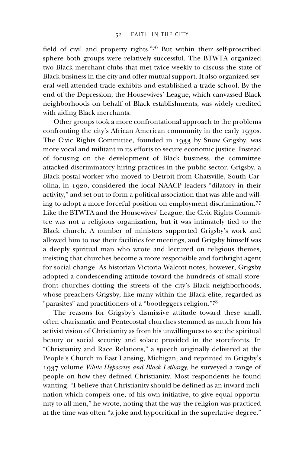field of civil and property rights." $7^6$  But within their self-proscribed sphere both groups were relatively successful. The BTWTA organized two Black merchant clubs that met twice weekly to discuss the state of Black business in the city and offer mutual support. It also organized several well-attended trade exhibits and established a trade school. By the end of the Depression, the Housewives' League, which canvassed Black neighborhoods on behalf of Black establishments, was widely credited with aiding Black merchants.

Other groups took a more confrontational approach to the problems confronting the city's African American community in the early 1930s. The Civic Rights Committee, founded in 1933 by Snow Grigsby, was more vocal and militant in its efforts to secure economic justice. Instead of focusing on the development of Black business, the committee attacked discriminatory hiring practices in the public sector. Grigsby, a Black postal worker who moved to Detroit from Chatsville, South Carolina, in 1920, considered the local NAACP leaders "dilatory in their activity," and set out to form a political association that was able and willing to adopt a more forceful position on employment discrimination.<sup>77</sup> Like the BTWTA and the Housewives' League, the Civic Rights Committee was not a religious organization, but it was intimately tied to the Black church. A number of ministers supported Grigsby's work and allowed him to use their facilities for meetings, and Grigsby himself was a deeply spiritual man who wrote and lectured on religious themes, insisting that churches become a more responsible and forthright agent for social change. As historian Victoria Walcott notes, however, Grigsby adopted a condescending attitude toward the hundreds of small storefront churches dotting the streets of the city's Black neighborhoods, whose preachers Grigsby, like many within the Black elite, regarded as "parasites" and practitioners of a "bootleggers religion."<sup>78</sup>

The reasons for Grigsby's dismissive attitude toward these small, often charismatic and Pentecostal churches stemmed as much from his activist vision of Christianity as from his unwillingness to see the spiritual beauty or social security and solace provided in the storefronts. In "Christianity and Race Relations," a speech originally delivered at the People's Church in East Lansing, Michigan, and reprinted in Grigsby's 1937 volume *White Hypocrisy and Black Lethargy,* he surveyed a range of people on how they defined Christianity. Most respondents he found wanting. "I believe that Christianity should be defined as an inward inclination which compels one, of his own initiative, to give equal opportunity to all men," he wrote, noting that the way the religion was practiced at the time was often "a joke and hypocritical in the superlative degree."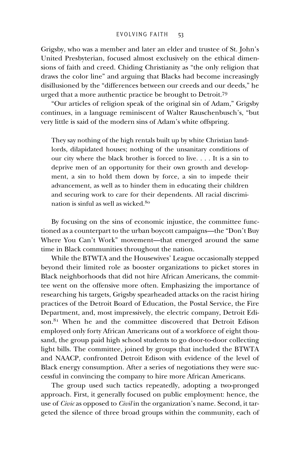Grigsby, who was a member and later an elder and trustee of St. John's United Presbyterian, focused almost exclusively on the ethical dimensions of faith and creed. Chiding Christianity as "the only religion that draws the color line" and arguing that Blacks had become increasingly disillusioned by the "differences between our creeds and our deeds," he urged that a more authentic practice be brought to Detroit.79

"Our articles of religion speak of the original sin of Adam," Grigsby continues, in a language reminiscent of Walter Rauschenbusch's, "but very little is said of the modern sins of Adam's white offspring.

They say nothing of the high rentals built up by white Christian landlords, dilapidated houses; nothing of the unsanitary conditions of our city where the black brother is forced to live. . . . It is a sin to deprive men of an opportunity for their own growth and development, a sin to hold them down by force, a sin to impede their advancement, as well as to hinder them in educating their children and securing work to care for their dependents. All racial discrimination is sinful as well as wicked.<sup>80</sup>

By focusing on the sins of economic injustice, the committee functioned as a counterpart to the urban boycott campaigns—the "Don't Buy Where You Can't Work" movement—that emerged around the same time in Black communities throughout the nation.

While the BTWTA and the Housewives' League occasionally stepped beyond their limited role as booster organizations to picket stores in Black neighborhoods that did not hire African Americans, the committee went on the offensive more often. Emphasizing the importance of researching his targets, Grigsby spearheaded attacks on the racist hiring practices of the Detroit Board of Education, the Postal Service, the Fire Department, and, most impressively, the electric company, Detroit Edison.81 When he and the committee discovered that Detroit Edison employed only forty African Americans out of a workforce of eight thousand, the group paid high school students to go door-to-door collecting light bills. The committee, joined by groups that included the BTWTA and NAACP, confronted Detroit Edison with evidence of the level of Black energy consumption. After a series of negotiations they were successful in convincing the company to hire more African Americans.

The group used such tactics repeatedly, adopting a two-pronged approach. First, it generally focused on public employment: hence, the use of *Civic* as opposed to *Civil* in the organization's name. Second, it targeted the silence of three broad groups within the community, each of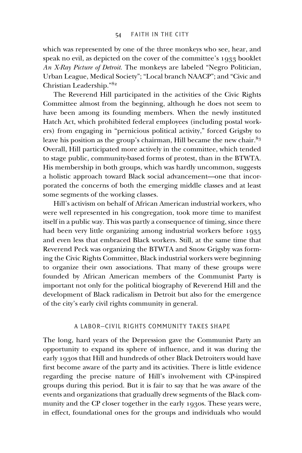which was represented by one of the three monkeys who see, hear, and speak no evil, as depicted on the cover of the committee's 1933 booklet *An X-Ray Picture of Detroit.* The monkeys are labeled "Negro Politician, Urban League, Medical Society"; "Local branch NAACP"; and "Civic and Christian Leadership."82

The Reverend Hill participated in the activities of the Civic Rights Committee almost from the beginning, although he does not seem to have been among its founding members. When the newly instituted Hatch Act, which prohibited federal employees (including postal workers) from engaging in "pernicious political activity," forced Grigsby to leave his position as the group's chairman, Hill became the new chair.<sup>83</sup> Overall, Hill participated more actively in the committee, which tended to stage public, community-based forms of protest, than in the BTWTA. His membership in both groups, which was hardly uncommon, suggests a holistic approach toward Black social advancement—one that incorporated the concerns of both the emerging middle classes and at least some segments of the working classes.

Hill's activism on behalf of African American industrial workers, who were well represented in his congregation, took more time to manifest itself in a public way. This was partly a consequence of timing, since there had been very little organizing among industrial workers before 1935 and even less that embraced Black workers. Still, at the same time that Reverend Peck was organizing the BTWTA and Snow Grigsby was forming the Civic Rights Committee, Black industrial workers were beginning to organize their own associations. That many of these groups were founded by African American members of the Communist Party is important not only for the political biography of Reverend Hill and the development of Black radicalism in Detroit but also for the emergence of the city's early civil rights community in general.

### A LABOR–CIVIL RIGHTS COMMUNITY TAKES SHAPE

The long, hard years of the Depression gave the Communist Party an opportunity to expand its sphere of influence, and it was during the early 1930s that Hill and hundreds of other Black Detroiters would have first become aware of the party and its activities. There is little evidence regarding the precise nature of Hill's involvement with CP-inspired groups during this period. But it is fair to say that he was aware of the events and organizations that gradually drew segments of the Black community and the CP closer together in the early 1930s. These years were, in effect, foundational ones for the groups and individuals who would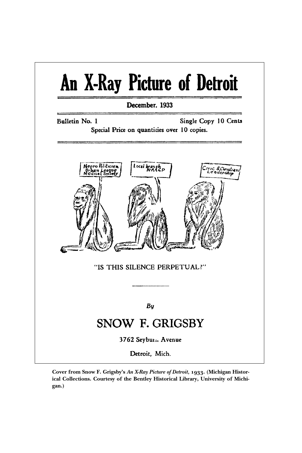

**Cover from Snow F. Grigsby's** *An X-Ray Picture of Detroit,* **1933. (Michigan Historical Collections. Courtesy of the Bentley Historical Library, University of Michigan.)**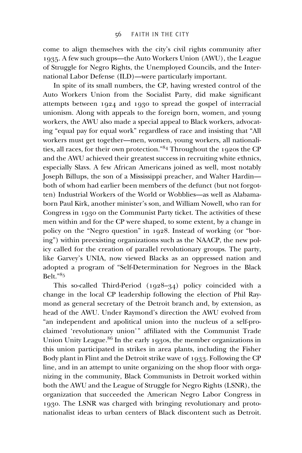come to align themselves with the city's civil rights community after 1935. A few such groups—the Auto Workers Union (AWU), the League of Struggle for Negro Rights, the Unemployed Councils, and the International Labor Defense (ILD)—were particularly important.

In spite of its small numbers, the CP, having wrested control of the Auto Workers Union from the Socialist Party, did make significant attempts between 1924 and 1930 to spread the gospel of interracial unionism. Along with appeals to the foreign born, women, and young workers, the AWU also made a special appeal to Black workers, advocating "equal pay for equal work" regardless of race and insisting that "All workers must get together—men, women, young workers, all nationalities, all races, for their own protection."<sup>84</sup> Throughout the 1920s the CP and the AWU achieved their greatest success in recruiting white ethnics, especially Slavs. A few African Americans joined as well, most notably Joseph Billups, the son of a Mississippi preacher, and Walter Hardin both of whom had earlier been members of the defunct (but not forgotten) Industrial Workers of the World or Wobblies—as well as Alabamaborn Paul Kirk, another minister's son, and William Nowell, who ran for Congress in 1930 on the Communist Party ticket. The activities of these men within and for the CP were shaped, to some extent, by a change in policy on the "Negro question" in 1928. Instead of working (or "boring") within preexisting organizations such as the NAACP, the new policy called for the creation of parallel revolutionary groups. The party, like Garvey's UNIA, now viewed Blacks as an oppressed nation and adopted a program of "Self-Determination for Negroes in the Black  $B$ elt." $85$ 

This so-called Third-Period (1928–34) policy coincided with a change in the local CP leadership following the election of Phil Raymond as general secretary of the Detroit branch and, by extension, as head of the AWU. Under Raymond's direction the AWU evolved from "an independent and apolitical union into the nucleus of a self-proclaimed 'revolutionary union'" affiliated with the Communist Trade Union Unity League.<sup>86</sup> In the early 1930s, the member organizations in this union participated in strikes in area plants, including the Fisher Body plant in Flint and the Detroit strike wave of 1933. Following the CP line, and in an attempt to unite organizing on the shop floor with organizing in the community, Black Communists in Detroit worked within both the AWU and the League of Struggle for Negro Rights (LSNR), the organization that succeeded the American Negro Labor Congress in 1930. The LSNR was charged with bringing revolutionary and protonationalist ideas to urban centers of Black discontent such as Detroit.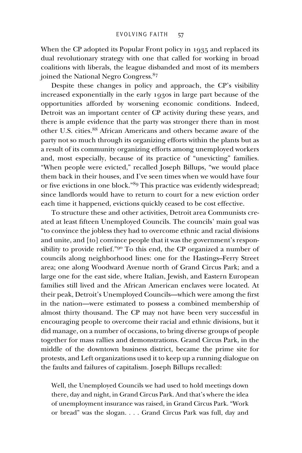When the CP adopted its Popular Front policy in 1935 and replaced its dual revolutionary strategy with one that called for working in broad coalitions with liberals, the league disbanded and most of its members joined the National Negro Congress.<sup>87</sup>

Despite these changes in policy and approach, the CP's visibility increased exponentially in the early 1930s in large part because of the opportunities afforded by worsening economic conditions. Indeed, Detroit was an important center of CP activity during these years, and there is ample evidence that the party was stronger there than in most other U.S. cities.<sup>88</sup> African Americans and others became aware of the party not so much through its organizing efforts within the plants but as a result of its community organizing efforts among unemployed workers and, most especially, because of its practice of "unevicting" families. "When people were evicted," recalled Joseph Billups, "we would place them back in their houses, and I've seen times when we would have four or five evictions in one block." $89$  This practice was evidently widespread; since landlords would have to return to court for a new eviction order each time it happened, evictions quickly ceased to be cost effective.

To structure these and other activities, Detroit area Communists created at least fifteen Unemployed Councils. The councils' main goal was "to convince the jobless they had to overcome ethnic and racial divisions and unite, and [to] convince people that it was the government's responsibility to provide relief."<sup>90</sup> To this end, the CP organized a number of councils along neighborhood lines: one for the Hastings–Ferry Street area; one along Woodward Avenue north of Grand Circus Park; and a large one for the east side, where Italian, Jewish, and Eastern European families still lived and the African American enclaves were located. At their peak, Detroit's Unemployed Councils—which were among the first in the nation—were estimated to possess a combined membership of almost thirty thousand. The CP may not have been very successful in encouraging people to overcome their racial and ethnic divisions, but it did manage, on a number of occasions, to bring diverse groups of people together for mass rallies and demonstrations. Grand Circus Park, in the middle of the downtown business district, became the prime site for protests, and Left organizations used it to keep up a running dialogue on the faults and failures of capitalism. Joseph Billups recalled:

Well, the Unemployed Councils we had used to hold meetings down there, day and night, in Grand Circus Park. And that's where the idea of unemployment insurance was raised, in Grand Circus Park. "Work or bread" was the slogan. . . . Grand Circus Park was full, day and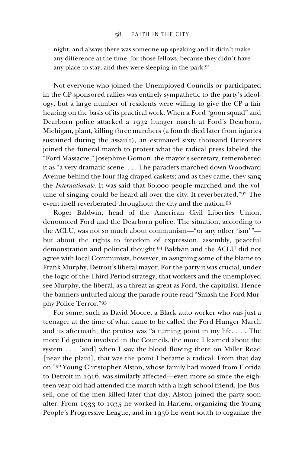night, and always there was someone up speaking and it didn't make any difference at the time, for those fellows, because they didn't have any place to stay, and they were sleeping in the park.91

Not everyone who joined the Unemployed Councils or participated in the CP-sponsored rallies was entirely sympathetic to the party's ideology, but a large number of residents were willing to give the CP a fair hearing on the basis of its practical work. When a Ford "goon squad" and Dearborn police attacked a 1932 hunger march at Ford's Dearborn, Michigan, plant, killing three marchers (a fourth died later from injuries sustained during the assault), an estimated sixty thousand Detroiters joined the funeral march to protest what the radical press labeled the "Ford Massacre." Josephine Gomon, the mayor's secretary, remembered it as "a very dramatic scene. . . . The paraders marched down Woodward Avenue behind the four flag-draped caskets; and as they came, they sang the *Internationale.* It was said that 60,000 people marched and the volume of singing could be heard all over the city. It reverberated."92 The event itself reverberated throughout the city and the nation.93

Roger Baldwin, head of the American Civil Liberties Union, denounced Ford and the Dearborn police. The situation, according to the ACLU, was not so much about communism—"or any other 'ism'" but about the rights to freedom of expression, assembly, peaceful demonstration and political thought.<sup>94</sup> Baldwin and the ACLU did not agree with local Communists, however, in assigning some of the blame to Frank Murphy, Detroit's liberal mayor. For the party it was crucial, under the logic of the Third Period strategy, that workers and the unemployed see Murphy, the liberal, as a threat as great as Ford, the capitalist. Hence the banners unfurled along the parade route read "Smash the Ford-Murphy Police Terror."95

For some, such as David Moore, a Black auto worker who was just a teenager at the time of what came to be called the Ford Hunger March and its aftermath, the protest was "a turning point in my life. . . . The more I'd gotten involved in the Councils, the more I learned about the system . . . [and] when I saw the blood flowing there on Miller Road [near the plant], that was the point I became a radical. From that day on."96 Young Christopher Alston, whose family had moved from Florida to Detroit in 1916, was similarly affected—even more so since the eighteen year old had attended the march with a high school friend, Joe Bussell, one of the men killed later that day. Alston joined the party soon after. From 1933 to 1935 he worked in Harlem, organizing the Young People's Progressive League, and in 1936 he went south to organize the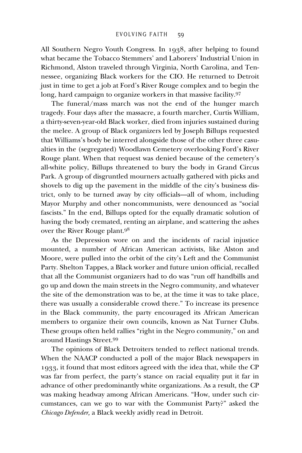All Southern Negro Youth Congress. In 1938, after helping to found what became the Tobacco Stemmers' and Laborers' Industrial Union in Richmond, Alston traveled through Virginia, North Carolina, and Tennessee, organizing Black workers for the CIO. He returned to Detroit just in time to get a job at Ford's River Rouge complex and to begin the long, hard campaign to organize workers in that massive facility.<sup>97</sup>

The funeral/mass march was not the end of the hunger march tragedy. Four days after the massacre, a fourth marcher, Curtis William, a thirty-seven-year-old Black worker, died from injuries sustained during the melee. A group of Black organizers led by Joseph Billups requested that Williams's body be interred alongside those of the other three casualties in the (segregated) Woodlawn Cemetery overlooking Ford's River Rouge plant. When that request was denied because of the cemetery's all-white policy, Billups threatened to bury the body in Grand Circus Park. A group of disgruntled mourners actually gathered with picks and shovels to dig up the pavement in the middle of the city's business district, only to be turned away by city officials—all of whom, including Mayor Murphy and other noncommunists, were denounced as "social fascists." In the end, Billups opted for the equally dramatic solution of having the body cremated, renting an airplane, and scattering the ashes over the River Rouge plant.98

As the Depression wore on and the incidents of racial injustice mounted, a number of African American activists, like Alston and Moore, were pulled into the orbit of the city's Left and the Communist Party. Shelton Tappes, a Black worker and future union official, recalled that all the Communist organizers had to do was "run off handbills and go up and down the main streets in the Negro community, and whatever the site of the demonstration was to be, at the time it was to take place, there was usually a considerable crowd there." To increase its presence in the Black community, the party encouraged its African American members to organize their own councils, known as Nat Turner Clubs. These groups often held rallies "right in the Negro community," on and around Hastings Street.<sup>99</sup>

The opinions of Black Detroiters tended to reflect national trends. When the NAACP conducted a poll of the major Black newspapers in 1933, it found that most editors agreed with the idea that, while the CP was far from perfect, the party's stance on racial equality put it far in advance of other predominantly white organizations. As a result, the CP was making headway among African Americans. "How, under such circumstances, can we go to war with the Communist Party?" asked the *Chicago Defender,* a Black weekly avidly read in Detroit.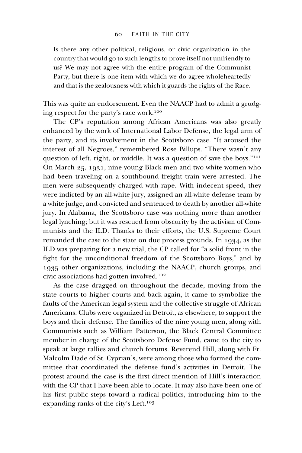Is there any other political, religious, or civic organization in the country that would go to such lengths to prove itself not unfriendly to us? We may not agree with the entire program of the Communist Party, but there is one item with which we do agree wholeheartedly and that is the zealousness with which it guards the rights of the Race.

This was quite an endorsement. Even the NAACP had to admit a grudging respect for the party's race work.100

The CP's reputation among African Americans was also greatly enhanced by the work of International Labor Defense, the legal arm of the party, and its involvement in the Scottsboro case. "It aroused the interest of all Negroes," remembered Rose Billups. "There wasn't any question of left, right, or middle. It was a question of save the boys."<sup>101</sup> On March 25, 1931, nine young Black men and two white women who had been traveling on a southbound freight train were arrested. The men were subsequently charged with rape. With indecent speed, they were indicted by an all-white jury, assigned an all-white defense team by a white judge, and convicted and sentenced to death by another all-white jury. In Alabama, the Scottsboro case was nothing more than another legal lynching; but it was rescued from obscurity by the activism of Communists and the ILD. Thanks to their efforts, the U.S. Supreme Court remanded the case to the state on due process grounds. In 1934, as the ILD was preparing for a new trial, the CP called for "a solid front in the fight for the unconditional freedom of the Scottsboro Boys," and by 1935 other organizations, including the NAACP, church groups, and civic associations had gotten involved.<sup>102</sup>

As the case dragged on throughout the decade, moving from the state courts to higher courts and back again, it came to symbolize the faults of the American legal system and the collective struggle of African Americans. Clubs were organized in Detroit, as elsewhere, to support the boys and their defense. The families of the nine young men, along with Communists such as William Patterson, the Black Central Committee member in charge of the Scottsboro Defense Fund, came to the city to speak at large rallies and church forums. Reverend Hill, along with Fr. Malcolm Dade of St. Cyprian's, were among those who formed the committee that coordinated the defense fund's activities in Detroit. The protest around the case is the first direct mention of Hill's interaction with the CP that I have been able to locate. It may also have been one of his first public steps toward a radical politics, introducing him to the expanding ranks of the city's Left.<sup>103</sup>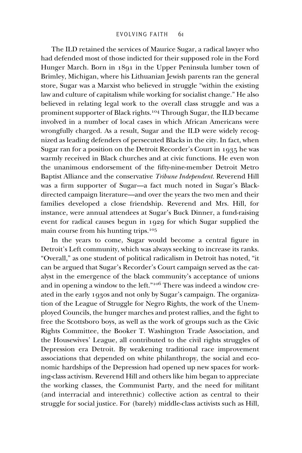The ILD retained the services of Maurice Sugar, a radical lawyer who had defended most of those indicted for their supposed role in the Ford Hunger March. Born in 1891 in the Upper Peninsula lumber town of Brimley, Michigan, where his Lithuanian Jewish parents ran the general store, Sugar was a Marxist who believed in struggle "within the existing law and culture of capitalism while working for socialist change." He also believed in relating legal work to the overall class struggle and was a prominent supporter of Black rights.<sup>104</sup> Through Sugar, the ILD became involved in a number of local cases in which African Americans were wrongfully charged. As a result, Sugar and the ILD were widely recognized as leading defenders of persecuted Blacks in the city. In fact, when Sugar ran for a position on the Detroit Recorder's Court in 1935 he was warmly received in Black churches and at civic functions. He even won the unanimous endorsement of the fifty-nine-member Detroit Metro Baptist Alliance and the conservative *Tribune Independent.* Reverend Hill was a firm supporter of Sugar—a fact much noted in Sugar's Blackdirected campaign literature—and over the years the two men and their families developed a close friendship. Reverend and Mrs. Hill, for instance, were annual attendees at Sugar's Buck Dinner, a fund-raising event for radical causes begun in 1929 for which Sugar supplied the main course from his hunting trips.<sup>105</sup>

In the years to come, Sugar would become a central figure in Detroit's Left community, which was always seeking to increase its ranks. "Overall," as one student of political radicalism in Detroit has noted, "it can be argued that Sugar's Recorder's Court campaign served as the catalyst in the emergence of the black community's acceptance of unions and in opening a window to the left."<sup>106</sup> There was indeed a window created in the early 1930s and not only by Sugar's campaign. The organization of the League of Struggle for Negro Rights, the work of the Unemployed Councils, the hunger marches and protest rallies, and the fight to free the Scottsboro boys, as well as the work of groups such as the Civic Rights Committee, the Booker T. Washington Trade Association, and the Housewives' League, all contributed to the civil rights struggles of Depression era Detroit. By weakening traditional race improvement associations that depended on white philanthropy, the social and economic hardships of the Depression had opened up new spaces for working-class activism. Reverend Hill and others like him began to appreciate the working classes, the Communist Party, and the need for militant (and interracial and interethnic) collective action as central to their struggle for social justice. For (barely) middle-class activists such as Hill,